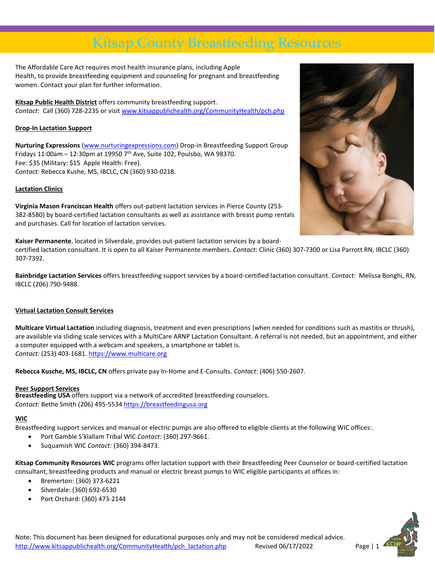# Kitsap County Breastfeeding Resources

The Affordable Care Act requires most health insurance plans, including Apple Health, to provide breastfeeding equipment and counseling for pregnant and breastfeeding women. Contact your plan for further information.

**Kitsap Public Health District** offers community breastfeeding support. *Contact:* Call (360) 728-2235 or visi[t www.kitsappublichealth.org/CommunityHealth/pch.php](http://www.kitsappublichealth.org/CommunityHealth/pch.php)

### **Drop-In Lactation Support**

**Nurturing Expressions** [\(www.nurturingexpressions.com\)](http://www.nurturingexpressions.com/) Drop-in Breastfeeding Support Group Fridays  $11:00$ am -  $12:30$ pm at 19950 7<sup>th</sup> Ave, Suite 102, Poulsbo, WA 98370. Fee: \$35 (Military: \$15 Apple Health: Free). *Contact:* Rebecca Kushe, MS, IBCLC, CN (360) 930-0218.

### **Lactation Clinics**

**Virginia Mason Franciscan Health** offers out-patient lactation services in Pierce County (253- 382-8580) by board-certified lactation consultants as well as assistance with breast pump rentals and purchases. Call for location of lactation services.

**Kaiser Permanente**, located in Silverdale, provides out-patient lactation services by a board-

certified lactation consultant. It is open to all Kaiser Permanente members. *Contact:* Clinic (360) 307-7300 or Lisa Parrott RN, IBCLC (360) 307-7392.

**Bainbridge Lactation Services** offers breastfeeding support services by a board-certified lactation consultant. *Contact:* Melissa Bonghi, RN, IBCLC (206) 790-9488.

### **Virtual Lactation Consult Services**

**Multicare Virtual Lactation** including diagnosis, treatment and even prescriptions (when needed for conditions such as mastitis or thrush), are available via sliding scale services with a MultiCare ARNP Lactation Consultant. A referral is not needed, but an appointment, and either a computer equipped with a webcam and speakers, a smartphone or tablet is. *Contact:* (253) 403-1681. [https://www.multicare.org](https://www.multicare.org/services-and-departments/pregnancy/womens-care-pregnancy-after/womens-care-pregnancy-breastfeeding/pregnancy-breastfeeding-support/)

**Rebecca Kusche, MS, IBCLC, CN** offers private pay In-Home and E-Consults. *Contact*: (406) 550-2607.

### **Peer Support Services**

**Breastfeeding USA** offers support via a network of accredited breastfeeding counselors. *Contact:* Bethe Smith (206) 495-553[4 https://breastfeedingusa.org](https://breastfeedingusa.org/)

### **WIC**

Breastfeeding support services and manual or electric pumps are also offered to eligible clients at the following WIC offices:.

- Port Gamble S'klallam Tribal WIC *Contact:* (360) 297-9661.
- Suquamish WIC *Contact:* (360) 394-8473.

**Kitsap Community Resources WIC** programs offer lactation support with their Breastfeeding Peer Counselor or board-certified lactation consultant, breastfeeding products and manual or electric breast pumps to WIC eligible participants at offices in:

- Bremerton: (360) 373-6221
- Silverdale: (360) 692-6530
- Port Orchard: (360) 473-2144